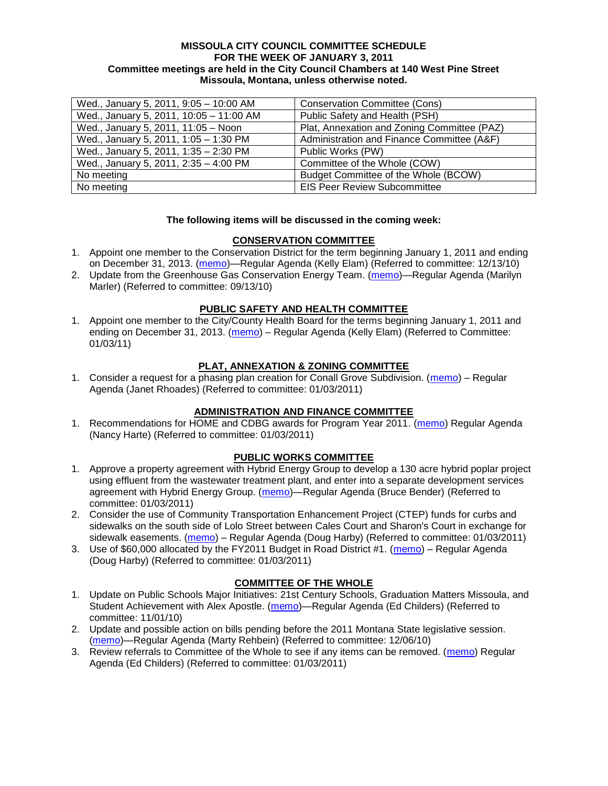### **MISSOULA CITY COUNCIL COMMITTEE SCHEDULE FOR THE WEEK OF JANUARY 3, 2011 Committee meetings are held in the City Council Chambers at 140 West Pine Street Missoula, Montana, unless otherwise noted.**

| Wed., January 5, 2011, 9:05 - 10:00 AM  | <b>Conservation Committee (Cons)</b>        |
|-----------------------------------------|---------------------------------------------|
| Wed., January 5, 2011, 10:05 - 11:00 AM | Public Safety and Health (PSH)              |
| Wed., January 5, 2011, 11:05 - Noon     | Plat, Annexation and Zoning Committee (PAZ) |
| Wed., January 5, 2011, 1:05 - 1:30 PM   | Administration and Finance Committee (A&F)  |
| Wed., January 5, 2011, 1:35 - 2:30 PM   | Public Works (PW)                           |
| Wed., January 5, 2011, 2:35 - 4:00 PM   | Committee of the Whole (COW)                |
| No meeting                              | Budget Committee of the Whole (BCOW)        |
| No meeting                              | <b>EIS Peer Review Subcommittee</b>         |

### **The following items will be discussed in the coming week:**

# **CONSERVATION COMMITTEE**

- 1. Appoint one member to the Conservation District for the term beginning January 1, 2011 and ending on December 31, 2013. [\(memo\)](http://www.ci.missoula.mt.us/DocumentView.aspx?DID=5204)—Regular Agenda (Kelly Elam) (Referred to committee: 12/13/10)
- 2. Update from the Greenhouse Gas Conservation Energy Team. [\(memo\)](http://www.ci.missoula.mt.us/DocumentView.aspx?DID=4556)—Regular Agenda (Marilyn Marler) (Referred to committee: 09/13/10)

### **PUBLIC SAFETY AND HEALTH COMMITTEE**

1. Appoint one member to the City/County Health Board for the terms beginning January 1, 2011 and ending on December 31, 2013. [\(memo\)](http://www.ci.missoula.mt.us/DocumentView.aspx?DID=5305) – Regular Agenda (Kelly Elam) (Referred to Committee: 01/03/11)

### **PLAT, ANNEXATION & ZONING COMMITTEE**

1. Consider a request for a phasing plan creation for Conall Grove Subdivision. [\(memo\)](http://www.ci.missoula.mt.us/DocumentView.aspx?DID=5302) – Regular Agenda (Janet Rhoades) (Referred to committee: 01/03/2011)

# **ADMINISTRATION AND FINANCE COMMITTEE**

1. Recommendations for HOME and CDBG awards for Program Year 2011. [\(memo\)](http://www.ci.missoula.mt.us/DocumentView.aspx?DID=5306) Regular Agenda (Nancy Harte) (Referred to committee: 01/03/2011)

### **PUBLIC WORKS COMMITTEE**

- 1. Approve a property agreement with Hybrid Energy Group to develop a 130 acre hybrid poplar project using effluent from the wastewater treatment plant, and enter into a separate development services agreement with Hybrid Energy Group. [\(memo\)](http://www.ci.missoula.mt.us/DocumentView.aspx?DID=5254)—Regular Agenda (Bruce Bender) (Referred to committee: 01/03/2011)
- 2. Consider the use of Community Transportation Enhancement Project (CTEP) funds for curbs and sidewalks on the south side of Lolo Street between Cales Court and Sharon's Court in exchange for sidewalk easements. [\(memo\)](http://www.ci.missoula.mt.us/DocumentView.aspx?DID=5307) – Regular Agenda (Doug Harby) (Referred to committee: 01/03/2011)
- 3. Use of \$60,000 allocated by the FY2011 Budget in Road District #1. [\(memo\)](http://www.ci.missoula.mt.us/DocumentView.aspx?DID=5308) Regular Agenda (Doug Harby) (Referred to committee: 01/03/2011)

### **COMMITTEE OF THE WHOLE**

- 1. Update on Public Schools Major Initiatives: 21st Century Schools, Graduation Matters Missoula, and Student Achievement with Alex Apostle. [\(memo\)](http://www.ci.missoula.mt.us/DocumentView.aspx?DID=4902)—Regular Agenda (Ed Childers) (Referred to committee: 11/01/10)
- 2. Update and possible action on bills pending before the 2011 Montana State legislative session. [\(memo\)](http://www.ci.missoula.mt.us/DocumentView.aspx?DID=5146)—Regular Agenda (Marty Rehbein) (Referred to committee: 12/06/10)
- 3. Review referrals to Committee of the Whole to see if any items can be removed. [\(memo\)](http://www.ci.missoula.mt.us/DocumentView.aspx?DID=5309) Regular Agenda (Ed Childers) (Referred to committee: 01/03/2011)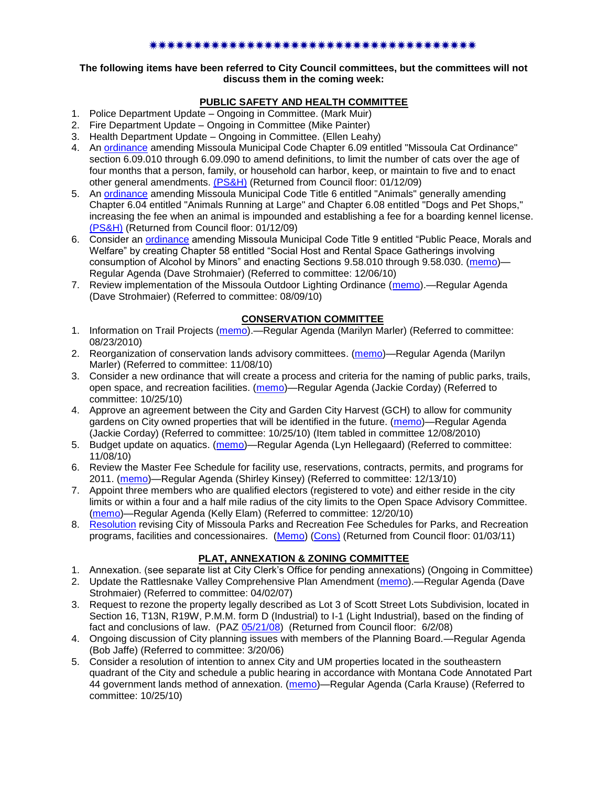#### \*\*\*\*\*\*\*\*\*\*\*\*\*\*\*\*\*\*\*\*\*\*\*\*\*\*\*\*\*\*\*\*\*\*\*\*\*

### **The following items have been referred to City Council committees, but the committees will not discuss them in the coming week:**

# **PUBLIC SAFETY AND HEALTH COMMITTEE**

- 1. Police Department Update Ongoing in Committee. (Mark Muir)
- 2. Fire Department Update Ongoing in Committee (Mike Painter)
- 3. Health Department Update Ongoing in Committee. (Ellen Leahy)
- 4. An [ordinance](ftp://ftp.ci.missoula.mt.us/Packets/Council/2008/2008-12-15/2008CatOrdinanceAmendment%5B1%5D.pdf) amending Missoula Municipal Code Chapter 6.09 entitled "Missoula Cat Ordinance" section 6.09.010 through 6.09.090 to amend definitions, to limit the number of cats over the age of four months that a person, family, or household can harbor, keep, or maintain to five and to enact other general amendments. [\(PS&H\)](ftp://ftp.ci.missoula.mt.us/Packets/Council/2008/2008-12-15/081210psh.pdf) (Returned from Council floor: 01/12/09)
- 5. An [ordinance](ftp://ftp.ci.missoula.mt.us/Packets/Council/2008/2008-12-15/DogOrdinance--PSHrevisions.pdf) amending Missoula Municipal Code Title 6 entitled "Animals" generally amending Chapter 6.04 entitled "Animals Running at Large" and Chapter 6.08 entitled "Dogs and Pet Shops," increasing the fee when an animal is impounded and establishing a fee for a boarding kennel license. [\(PS&H\)](ftp://ftp.ci.missoula.mt.us/Packets/Council/2008/2008-12-15/081210psh.pdf) (Returned from Council floor: 01/12/09)
- 6. Consider an [ordinance](http://www.ci.missoula.mt.us/DocumentView.aspx?DID=5133) amending Missoula Municipal Code Title 9 entitled "Public Peace, Morals and Welfare" by creating Chapter 58 entitled "Social Host and Rental Space Gatherings involving consumption of Alcohol by Minors" and enacting Sections 9.58.010 through 9.58.030. [\(memo\)](http://www.ci.missoula.mt.us/DocumentView.aspx?DID=5149)-Regular Agenda (Dave Strohmaier) (Referred to committee: 12/06/10)
- 7. Review implementation of the Missoula Outdoor Lighting Ordinance [\(memo\)](http://www.ci.missoula.mt.us/DocumentView.aspx?DID=4420).—Regular Agenda (Dave Strohmaier) (Referred to committee: 08/09/10)

# **CONSERVATION COMMITTEE**

- 1. Information on Trail Projects [\(memo\)](http://www.ci.missoula.mt.us/DocumentView.aspx?DID=4477).—Regular Agenda (Marilyn Marler) (Referred to committee: 08/23/2010)
- 2. Reorganization of conservation lands advisory committees. [\(memo\)](http://www.ci.missoula.mt.us/DocumentView.aspx?DID=4957)—Regular Agenda (Marilyn Marler) (Referred to committee: 11/08/10)
- 3. Consider a new ordinance that will create a process and criteria for the naming of public parks, trails, open space, and recreation facilities. [\(memo\)](http://www.ci.missoula.mt.us/DocumentView.aspx?DID=4848)—Regular Agenda (Jackie Corday) (Referred to committee: 10/25/10)
- 4. Approve an agreement between the City and Garden City Harvest (GCH) to allow for community gardens on City owned properties that will be identified in the future. [\(memo\)](http://www.ci.missoula.mt.us/DocumentView.aspx?DID=4847)—Regular Agenda (Jackie Corday) (Referred to committee: 10/25/10) (Item tabled in committee 12/08/2010)
- 5. Budget update on aquatics. [\(memo\)](http://www.ci.missoula.mt.us/DocumentView.aspx?DID=4917)—Regular Agenda (Lyn Hellegaard) (Referred to committee: 11/08/10)
- 6. Review the Master Fee Schedule for facility use, reservations, contracts, permits, and programs for 2011. [\(memo\)](http://www.ci.missoula.mt.us/DocumentView.aspx?DID=5207)—Regular Agenda (Shirley Kinsey) (Referred to committee: 12/13/10)
- 7. Appoint three members who are qualified electors (registered to vote) and either reside in the city limits or within a four and a half mile radius of the city limits to the Open Space Advisory Committee. [\(memo\)](http://www.ci.missoula.mt.us/DocumentView.aspx?DID=5253)—Regular Agenda (Kelly Elam) (Referred to committee: 12/20/10)
- 8. [Resolution](http://www.ci.missoula.mt.us/DocumentView.aspx?DID=5179) revising City of Missoula Parks and Recreation Fee Schedules for Parks, and Recreation programs, facilities and concessionaires. [\(Memo\)](http://www.ci.missoula.mt.us/DocumentView.aspx?DID=5207) [\(Cons\)](http://www.ci.missoula.mt.us/Archive.aspx?ADID=3312) (Returned from Council floor: 01/03/11)

# **PLAT, ANNEXATION & ZONING COMMITTEE**

- 1. Annexation. (see separate list at City Clerk's Office for pending annexations) (Ongoing in Committee)
- 2. Update the Rattlesnake Valley Comprehensive Plan Amendment [\(memo\)](ftp://ftp.ci.missoula.mt.us/Packets/Council/2007/2007-04-02/Referrals/Rattlesnake_Plan_Update_referral.pdf).—Regular Agenda (Dave Strohmaier) (Referred to committee: 04/02/07)
- 3. Request to rezone the property legally described as Lot 3 of Scott Street Lots Subdivision, located in Section 16, T13N, R19W, P.M.M. form D (Industrial) to I-1 (Light Industrial), based on the finding of fact and conclusions of law. (PAZ [05/21/08\)](ftp://ftp.ci.missoula.mt.us/Packets/Council/2008/2008-06-02/080521paz.pdf) (Returned from Council floor: 6/2/08)
- 4. Ongoing discussion of City planning issues with members of the Planning Board.—Regular Agenda (Bob Jaffe) (Referred to committee: 3/20/06)
- 5. Consider a resolution of intention to annex City and UM properties located in the southeastern quadrant of the City and schedule a public hearing in accordance with Montana Code Annotated Part 44 government lands method of annexation. [\(memo\)](http://www.ci.missoula.mt.us/DocumentView.aspx?DID=4845)—Regular Agenda (Carla Krause) (Referred to committee: 10/25/10)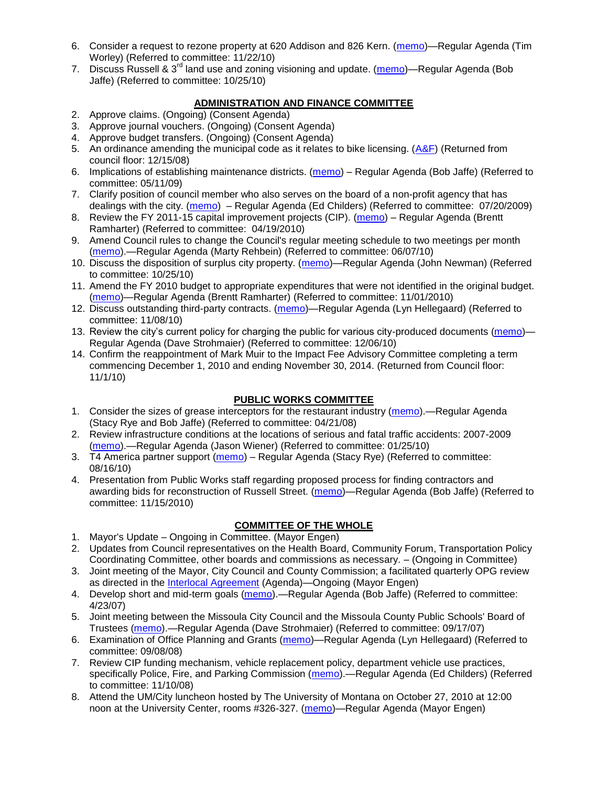- 6. Consider a request to rezone property at 620 Addison and 826 Kern. [\(memo\)](http://www.ci.missoula.mt.us/DocumentView.aspx?DID=5088)—Regular Agenda (Tim Worley) (Referred to committee: 11/22/10)
- 7. Discuss Russell & 3<sup>rd</sup> land use and zoning visioning and update. [\(memo\)](http://www.ci.missoula.mt.us/DocumentView.aspx?DID=4864)—Regular Agenda (Bob Jaffe) (Referred to committee: 10/25/10)

# **ADMINISTRATION AND FINANCE COMMITTEE**

- 2. Approve claims. (Ongoing) (Consent Agenda)
- 3. Approve journal vouchers. (Ongoing) (Consent Agenda)
- 4. Approve budget transfers. (Ongoing) (Consent Agenda)
- 5. An ordinance amending the municipal code as it relates to bike licensing.  $(A\&F)$  (Returned from council floor: 12/15/08)
- 6. Implications of establishing maintenance districts. [\(memo\)](ftp://ftp.ci.missoula.mt.us/Packets/Council/2009/2009-05-11/Referrals/MaintenanceDistricts.pdf) Regular Agenda (Bob Jaffe) (Referred to committee: 05/11/09)
- 7. Clarify position of council member who also serves on the board of a non-profit agency that has dealings with the city. [\(memo\)](http://www.ci.missoula.mt.us/DocumentView.aspx?DID=1840) – Regular Agenda (Ed Childers) (Referred to committee: 07/20/2009)
- 8. Review the FY 2011-15 capital improvement projects (CIP). [\(memo\)](http://www.ci.missoula.mt.us/DocumentView.aspx?DID=3522) Regular Agenda (Brentt Ramharter) (Referred to committee: 04/19/2010)
- 9. Amend Council rules to change the Council's regular meeting schedule to two meetings per month [\(memo\)](http://www.ci.missoula.mt.us/DocumentView.aspx?DID=4027).—Regular Agenda (Marty Rehbein) (Referred to committee: 06/07/10)
- 10. Discuss the disposition of surplus city property. [\(memo\)](http://www.ci.missoula.mt.us/DocumentView.aspx?DID=4862)—Regular Agenda (John Newman) (Referred to committee: 10/25/10)
- 11. Amend the FY 2010 budget to appropriate expenditures that were not identified in the original budget. [\(memo\)](http://www.ci.missoula.mt.us/DocumentView.aspx?DID=4883)—Regular Agenda (Brentt Ramharter) (Referred to committee: 11/01/2010)
- 12. Discuss outstanding third-party contracts. [\(memo\)](http://www.ci.missoula.mt.us/DocumentView.aspx?DID=4956)—Regular Agenda (Lyn Hellegaard) (Referred to committee: 11/08/10)
- 13. Review the city's current policy for charging the public for various city-produced documents [\(memo\)](http://www.ci.missoula.mt.us/DocumentView.aspx?DID=5143) Regular Agenda (Dave Strohmaier) (Referred to committee: 12/06/10)
- 14. Confirm the reappointment of Mark Muir to the Impact Fee Advisory Committee completing a term commencing December 1, 2010 and ending November 30, 2014. (Returned from Council floor: 11/1/10)

# **PUBLIC WORKS COMMITTEE**

- 1. Consider the sizes of grease interceptors for the restaurant industry [\(memo\)](ftp://ftp.ci.missoula.mt.us/Packets/Council/2008/2008-04-21/Referrals/Industrial_waste_restaurants.pdf).—Regular Agenda (Stacy Rye and Bob Jaffe) (Referred to committee: 04/21/08)
- 2. Review infrastructure conditions at the locations of serious and fatal traffic accidents: 2007-2009 [\(memo\)](http://www.ci.missoula.mt.us/DocumentView.aspx?DID=3031).—Regular Agenda (Jason Wiener) (Referred to committee: 01/25/10)
- 3. T4 America partner support [\(memo\)](http://www.ci.missoula.mt.us/DocumentView.aspx?DID=4452) Regular Agenda (Stacy Rye) (Referred to committee: 08/16/10)
- 4. Presentation from Public Works staff regarding proposed process for finding contractors and awarding bids for reconstruction of Russell Street. [\(memo\)](http://www.ci.missoula.mt.us/DocumentView.aspx?DID=5042)—Regular Agenda (Bob Jaffe) (Referred to committee: 11/15/2010)

# **COMMITTEE OF THE WHOLE**

- 1. Mayor's Update Ongoing in Committee. (Mayor Engen)
- 2. Updates from Council representatives on the Health Board, Community Forum, Transportation Policy Coordinating Committee, other boards and commissions as necessary. – (Ongoing in Committee)
- 3. Joint meeting of the Mayor, City Council and County Commission; a facilitated quarterly OPG review as directed in the [Interlocal Agreement](ftp://ftp.ci.missoula.mt.us/Documents/Mayor/OPG/Adopted-ILA-2005.pdf) (Agenda)—Ongoing (Mayor Engen)
- 4. Develop short and mid-term goals [\(memo\)](ftp://ftp.ci.missoula.mt.us/Packets/Council/2007/2007-04-23/Referrals/Council_Goals.pdf).—Regular Agenda (Bob Jaffe) (Referred to committee: 4/23/07)
- 5. Joint meeting between the Missoula City Council and the Missoula County Public Schools' Board of Trustees [\(memo\)](ftp://ftp.ci.missoula.mt.us/Packets/Council/2007/2007-09-17/Referrals/Council_School_Board_referral.pdf).—Regular Agenda (Dave Strohmaier) (Referred to committee: 09/17/07)
- 6. Examination of Office Planning and Grants [\(memo\)](ftp://ftp.ci.missoula.mt.us/Packets/Council/2008/2008-09-08/Referrals/080825HendricksonOPGreferral.pdf)—Regular Agenda (Lyn Hellegaard) (Referred to committee: 09/08/08)
- 7. Review CIP funding mechanism, vehicle replacement policy, department vehicle use practices, specifically Police, Fire, and Parking Commission [\(memo\)](ftp://ftp.ci.missoula.mt.us/Packets/Council/2008/2008-11-10/Referrals/ReviewBudgetary.pdf).—Regular Agenda (Ed Childers) (Referred to committee: 11/10/08)
- 8. Attend the UM/City luncheon hosted by The University of Montana on October 27, 2010 at 12:00 noon at the University Center, rooms #326-327. [\(memo\)](http://www.ci.missoula.mt.us/DocumentView.aspx?DID=4706)—Regular Agenda (Mayor Engen)